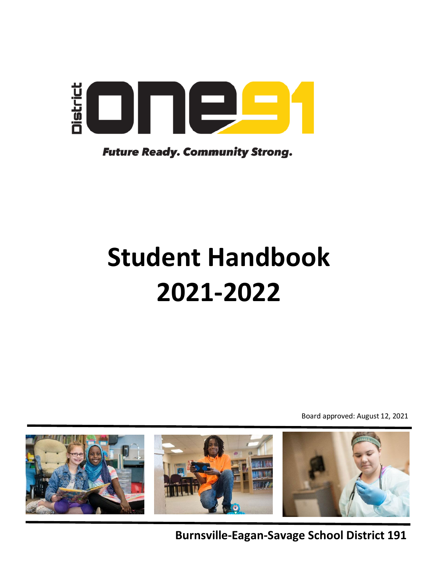

**Future Ready. Community Strong.** 

# **Student Handbook 2021-2022**

Board approved: August 12, 2021



**Burnsville-Eagan-Savage School District 191**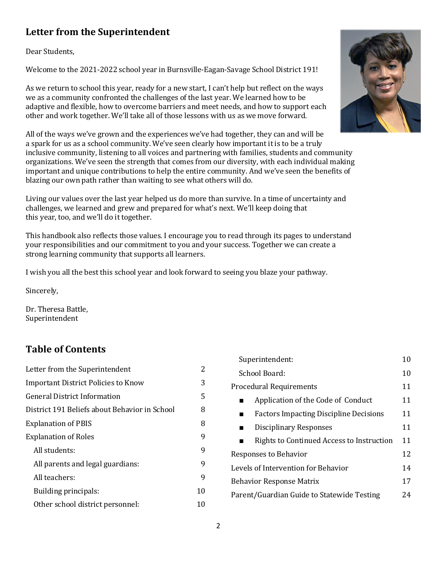# <span id="page-1-0"></span>**Letter from the Superintendent**

Dear Students,

Welcome to the 2021-2022 school year in Burnsville-Eagan-Savage School District 191!

As we return to school this year, ready for a new start, I can't help but reflect on the ways we as a community confronted the challenges of the last year. We learned how to be adaptive and flexible, how to overcome barriers and meet needs, and how to support each other and work together. We'll take all of those lessons with us as we move forward.



All of the ways we've grown and the experiences we've had together, they can and will be a spark for us as a school community. We've seen clearly how important it is to be a truly inclusive community, listening to all voices and partnering with families, students and community organizations. We've seen the strength that comes from our diversity, with each individual making important and unique contributions to help the entire community. And we've seen the benefits of blazing our own path rather than waiting to see what others will do.

Living our values over the last year helped us do more than survive. In a time of uncertainty and challenges, we learned and grew and prepared for what's next. We'll keep doing that this year, too, and we'll do it together.

This handbook also reflects those values. I encourage you to read through its pages to understand your responsibilities and our commitment to you and your success. Together we can create a strong learning community that supports all learners.

I wish you all the best this school year and look forward to seeing you blaze your pathway.

Sincerely,

Dr. Theresa Battle, Superintendent

# **Table of Contents**

| Letter from the Superintendent                | 2  |
|-----------------------------------------------|----|
| Important District Policies to Know           | 3  |
| General District Information                  | 5  |
| District 191 Beliefs about Behavior in School | 8  |
| <b>Explanation of PBIS</b>                    | 8  |
| <b>Explanation of Roles</b>                   | 9  |
| All students:                                 | 9  |
| All parents and legal guardians:              | 9  |
| All teachers:                                 | 9  |
| Building principals:                          | 10 |
| Other school district personnel:              | 10 |

| Superintendent:                               | 10 |  |
|-----------------------------------------------|----|--|
| School Board:                                 |    |  |
| <b>Procedural Requirements</b>                | 11 |  |
| Application of the Code of Conduct            | 11 |  |
| <b>Factors Impacting Discipline Decisions</b> | 11 |  |
| Disciplinary Responses                        | 11 |  |
| Rights to Continued Access to Instruction     | 11 |  |
| Responses to Behavior                         | 12 |  |
| Levels of Intervention for Behavior           | 14 |  |
| <b>Behavior Response Matrix</b>               | 17 |  |
| Parent/Guardian Guide to Statewide Testing    | 24 |  |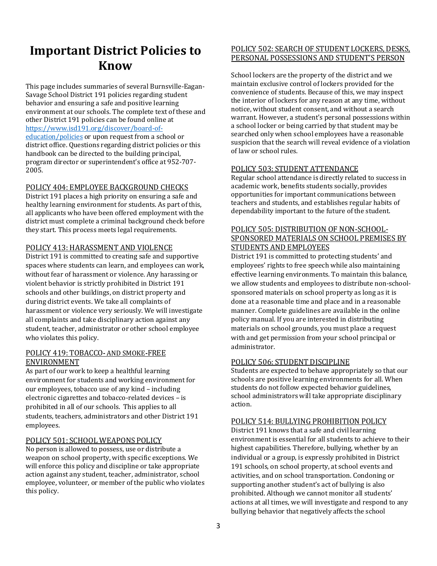# <span id="page-2-0"></span>**Important District Policies to Know**

This page includes summaries of several Burnsville-Eagan-Savage School District 191 policies regarding student behavior and ensuring a safe and positive learning environment at our schools. The complete text of these and other District 191 policies can be found online at [https://www.isd191.org/discover/board-of](https://www.isd191.org/discover/board-of-education/policies)[education/policies](https://www.isd191.org/discover/board-of-education/policies) or upon request from a school or district office. Questions regarding district policies or this handbook can be directed to the building principal, program director or superintendent's office at 952-707- 2005.

#### POLICY 404: EMPLOYEE BACKGROUND CHECKS

District 191 places a high priority on ensuring a safe and healthy learning environment for students. As part of this, all applicants who have been offered employment with the district must complete a criminal background check before they start. This process meets legal requirements.

#### POLICY 413: HARASSMENT AND VIOLENCE

District 191 is committed to creating safe and supportive spaces where students can learn, and employees can work, without fear of harassment or violence. Any harassing or violent behavior is strictly prohibited in District 191 schools and other buildings, on district property and during district events. We take all complaints of harassment or violence very seriously. We will investigate all complaints and take disciplinary action against any student, teacher, administrator or other school employee who violates this policy.

#### POLICY 419: TOBACCO**-** AND SMOKE**-**FREE ENVIRONMENT

As part of our work to keep a healthful learning environment for students and working environment for our employees, tobacco use of any kind – including electronic cigarettes and tobacco-related devices – is prohibited in all of our schools. This applies to all students, teachers, administrators and other District 191 employees.

#### POLICY 501: SCHOOL WEAPONS POLICY

No person is allowed to possess, use or distribute a weapon on school property, with specific exceptions. We will enforce this policy and discipline or take appropriate action against any student, teacher, administrator, school employee, volunteer, or member of the public who violates this policy.

#### POLICY 502: SEARCH OF STUDENT LOCKERS, DESKS, PERSONAL POSSESSIONS AND STUDENT'S PERSON

School lockers are the property of the district and we maintain exclusive control of lockers provided for the convenience of students. Because of this, we may inspect the interior of lockers for any reason at any time, without notice, without student consent, and without a search warrant. However, a student's personal possessions within a school locker or being carried by that student may be searched only when school employees have a reasonable suspicion that the search will reveal evidence of a violation of law or school rules.

#### POLICY 503: STUDENT ATTENDANCE

Regular school attendance is directly related to success in academic work, benefits students socially, provides opportunities for important communications between teachers and students, and establishes regular habits of dependability important to the future of the student.

#### POLICY 505: DISTRIBUTION OF NON-SCHOOL-SPONSORED MATERIALS ON SCHOOL PREMISES BY STUDENTS AND EMPLOYEES

District 191 is committed to protecting students' and employees' rights to free speech while also maintaining effective learning environments. To maintain this balance, we allow students and employees to distribute non-schoolsponsored materials on school property as long as it is done at a reasonable time and place and in a reasonable manner. Complete guidelines are available in the online policy manual. If you are interested in distributing materials on school grounds, you must place a request with and get permission from your school principal or administrator.

#### POLICY 506: STUDENT DISCIPLINE

Students are expected to behave appropriately so that our schools are positive learning environments for all. When students do not follow expected behavior guidelines, school administrators will take appropriate disciplinary action.

#### POLICY 514: BULLYING PROHIBITION POLICY

District 191 knows that a safe and civil learning environment is essential for all students to achieve to their highest capabilities. Therefore, bullying, whether by an individual or a group, is expressly prohibited in District 191 schools, on school property, at school events and activities, and on school transportation. Condoning or supporting another student's act of bullying is also prohibited. Although we cannot monitor all students' actions at all times, we will investigate and respond to any bullying behavior that negatively affects the school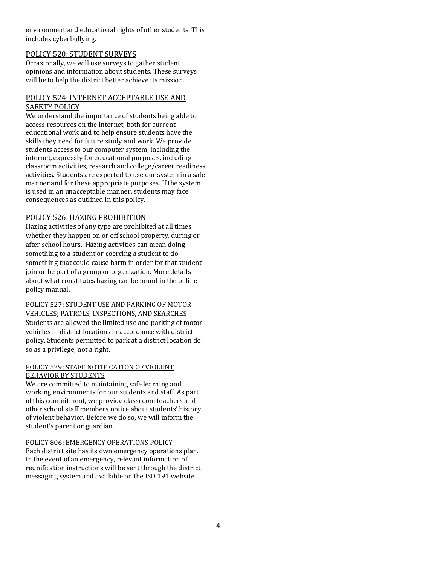environment and educational rights of other students. This includes cyberbullying.

#### POLICY 520: STUDENT SURVEYS

Occasionally, we will use surveys to gather student opinions and information about students. These surveys will be to help the district better achieve its mission.

#### POLICY 524: INTERNET ACCEPTABLE USE AND SAFETY POLICY

We understand the importance of students being able to access resources on the internet, both for current educational work and to help ensure students have the skills they need for future study and work. We provide students access to our computer system, including the internet, expressly for educational purposes, including classroom activities, research and college/career readiness activities. Students are expected to use our system in a safe manner and for these appropriate purposes. If the system is used in an unacceptable manner, students may face consequences as outlined in this policy.

#### POLICY 526: HAZING PROHIBITION

Hazing activities of any type are prohibited at all times whether they happen on or off school property, during or after school hours. Hazing activities can mean doing something to a student or coercing a student to do something that could cause harm in order for that student join or be part of a group or organization. More details about what constitutes hazing can be found in the online policy manual.

POLICY 527: STUDENT USE AND PARKING OF MOTOR VEHICLES; PATROLS, INSPECTIONS, AND SEARCHES Students are allowed the limited use and parking of motor vehicles in district locations in accordance with district policy. Students permitted to park at a district location do so as a privilege, not a right.

#### POLICY 529; STAFF NOTIFICATION OF VIOLENT BEHAVIOR BY STUDENTS

We are committed to maintaining safe learning and working environments for our students and staff. As part of this commitment, we provide classroom teachers and other school staff members notice about students' history of violent behavior. Before we do so, we will inform the student's parent or guardian.

#### POLICY 806: EMERGENCY OPERATIONS POLICY

Each district site has its own emergency operations plan. In the event of an emergency, relevant information of reunification instructions will be sent through the district messaging system and available on the ISD 191 website.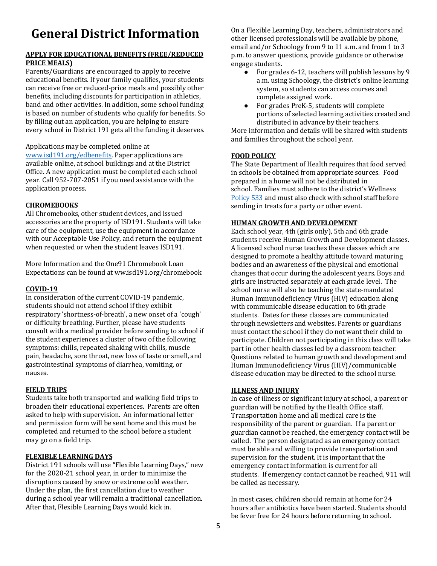# <span id="page-4-0"></span>**General District Information**

#### **APPLY FOR EDUCATIONAL BENEFITS (FREE/REDUCED PRICE MEALS)**

Parents/Guardians are encouraged to apply to receive educational benefits. If your family qualifies, your students can receive free or reduced-price meals and possibly other benefits, including discounts for participation in athletics, band and other activities. In addition, some school funding is based on number of students who qualify for benefits. So by filling out an application, you are helping to ensure every school in District 191 gets all the funding it deserves.

#### Applications may be completed online at

[www.isd191.org/edbenefits.](http://www.isd191.org/edbenefits) Paper applications are available online, at school buildings and at the District Office. A new application must be completed each school year. Call 952-707-2051 if you need assistance with the application process.

#### **CHROMEBOOKS**

All Chromebooks, other student devices, and issued accessories are the property of ISD191. Students will take care of the equipment, use the equipment in accordance with our Acceptable Use Policy, and return the equipment when requested or when the student leaves ISD191.

More Information and the One91 Chromebook Loan Expectations can be found at ww.isd191.org/chromebook

#### **COVID-19**

In consideration of the current COVID-19 pandemic, students should not attend school if they exhibit respiratory 'shortness-of-breath', a new onset of a 'cough' or difficulty breathing. Further, please have students consult with a medical provider before sending to school if the student experiences a cluster of two of the following symptoms: chills, repeated shaking with chills, muscle pain, headache, sore throat, new loss of taste or smell, and gastrointestinal symptoms of diarrhea, vomiting, or nausea.

#### **FIELD TRIPS**

Students take both transported and walking field trips to broaden their educational experiences. Parents are often asked to help with supervision. An informational letter and permission form will be sent home and this must be completed and returned to the school before a student may go on a field trip.

#### **FLEXIBLE LEARNING DAYS**

District 191 schools will use "Flexible Learning Days," new for the 2020-21 school year, in order to minimize the disruptions caused by snow or extreme cold weather. Under the plan, the first cancellation due to weather during a school year will remain a traditional cancellation. After that, Flexible Learning Days would kick in.

On a Flexible Learning Day, teachers, administrators and other licensed professionals will be available by phone, email and/or Schoology from 9 to 11 a.m. and from 1 to 3 p.m. to answer questions, provide guidance or otherwise engage students.<br>• For grad

- For grades 6-12, teachers will publish lessons by 9 a.m. using Schoology, the district's online learning system, so students can access courses and complete assigned work.
- For grades PreK-5, students will complete portions of selected learning activities created and distributed in advance by their teachers.

More information and details will be shared with students and families throughout the school year.

#### **FOOD POLICY**

The State Department of Health requires that food served in schools be obtained from appropriate sources. Food prepared in a home will not be distributed in school. Families must adhere to the district's Wellness [Policy 533](https://www.isd191.org/discover/board-of-education/policies/details/%7Eboard/district-policies/post/533-wellness) and must also check with school staff before sending in treats for a party or other event.

#### **HUMAN GROWTH AND DEVELOPMENT**

Each school year, 4th (girls only), 5th and 6th grade students receive Human Growth and Development classes. A licensed school nurse teaches these classes which are designed to promote a healthy attitude toward maturing bodies and an awareness of the physical and emotional changes that occur during the adolescent years. Boys and girls are instructed separately at each grade level. The school nurse will also be teaching the state-mandated Human Immunodeficiency Virus (HIV) education along with communicable disease education to 6th grade students. Dates for these classes are communicated through newsletters and websites. Parents or guardians must contact the school if they do not want their child to participate. Children not participating in this class will take part in other health classes led by a classroom teacher. Questions related to human growth and development and Human Immunodeficiency Virus (HIV)/communicable disease education may be directed to the school nurse.

#### **ILLNESS AND INJURY**

In case of illness or significant injury at school, a parent or guardian will be notified by the Health Office staff. Transportation home and all medical care is the responsibility of the parent or guardian. If a parent or guardian cannot be reached, the emergency contact will be called. The person designated as an emergency contact must be able and willing to provide transportation and supervision for the student. It is important that the emergency contact information is current for all students. If emergency contact cannot be reached, 911 will be called as necessary.

In most cases, children should remain at home for 24 hours after antibiotics have been started. Students should be fever free for 24 hours before returning to school.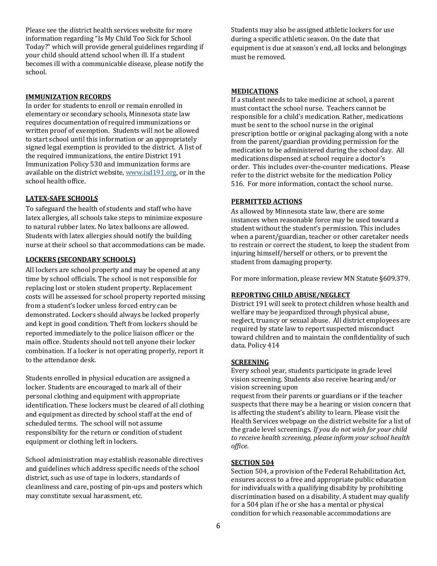Please see the district health services website for more information regarding "Is My Child Too Sick for School Today?" which will provide general guidelines regarding if your child should attend school when ill. If a student becomes ill with a communicable disease, please notify the school.

#### **IMMUNIZATION RECORDS**

In order for students to enroll or remain enrolled in elementary or secondary schools, Minnesota state law requires documentation of required immunizations or written proof of exemption. Students will not be allowed to start school until this information or an appropriately signed legal exemption is provided to the district. A list of the required immunizations, the entire District 191 Immunizatio[n Policy 530](https://drive.google.com/file/d/0B6hiAh56SOWxdzhKZDBqS3ZfcTA/view?usp=sharing) and immunization forms are available on the district website[, www.isd191.org,](http://www.isd191.org/) or in the school health office.

#### **LATEX-SAFE SCHOOLS**

To safeguard the health of students and staff who have latex allergies, all schools take steps to minimize exposure to natural rubber latex. No latex balloons are allowed. Students with latex allergies should notify the building nurse at their school so that accommodations can be made.

#### **LOCKERS (SECONDARY SCHOOLS)**

All lockers are school property and may be opened at any time by school officials. The school is not responsible for replacing lost or stolen student property. Replacement costs will be assessed for school property reported missing from a student's locker unless forced entry can be demonstrated. Lockers should always be locked properly and kept in good condition. Theft from lockers should be reported immediately to the police liaison officer or the main office. Students should not tell anyone their locker combination. If a locker is not operating properly, report it to the attendance desk.

Students enrolled in physical education are assigned a locker. Students are encouraged to mark all of their personal clothing and equipment with appropriate identification. These lockers must be cleared of all clothing and equipment as directed by school staff at the end of scheduled terms. The school will not assume responsibility for the return or condition of student equipment or clothing left in lockers.

School administration may establish reasonable directives and guidelines which address specific needs of the school district, such as use of tape in lockers, standards of cleanliness and care, posting of pin-ups and posters which may constitute sexual harassment, etc.

Students may also be assigned athletic lockers for use during a specific athletic season. On the date that equipment is due at season's end, all locks and belongings must be removed.

#### **MEDICATIONS**

If a student needs to take medicine at school, a parent must contact the school nurse. Teachers cannot be responsible for a child's medication. Rather, medications must be sent to the school nurse in the original prescription bottle or original packaging along with a note from the parent/guardian providing permission for the medication to be administered during the school day. All medications dispensed at school require a doctor's order. This includes over-the-counter medications. Please refer to the district website for the medicatio[n Policy](https://drive.google.com/file/d/0B6hiAh56SOWxazQ0YkNuOGdheW8/view?usp=sharing)  [516.](https://drive.google.com/file/d/0B6hiAh56SOWxazQ0YkNuOGdheW8/view?usp=sharing) For more information, contact the school nurse.

#### **PERMITTED ACTIONS**

As allowed by Minnesota state law, there are some instances when reasonable force may be used toward a student without the student's permission. This includes when a parent/guardian, teacher or other caretaker needs to restrain or correct the student, to keep the student from injuring himself/herself or others, or to prevent the student from damaging property.

For more information, please review MN Statute §609.379.

#### **REPORTING CHILD ABUSE/NEGLECT**

District 191 will seek to protect children whose health and welfare may be jeopardized through physical abuse, neglect, truancy or sexual abuse. All district employees are required by state law to report suspected misconduct toward children and to maintain the confidentiality of such data. Policy 414

#### **SCREENING**

Every school year, students participate in grade level vision screening. Students also receive hearing and/or vision screening upon

request from their parents or guardians or if the teacher suspects that there may be a hearing or vision concern that is affecting the student's ability to learn. Please visit the Health Services webpage on the district website for a list of the grade level screenings. *If you do not wish for your child to receive health screening, please inform your school health office.*

#### **SECTION 504**

Section 504, a provision of the Federal Rehabilitation Act, ensures access to a free and appropriate public education for individuals with a qualifying disability by prohibiting discrimination based on a disability. A student may qualify for a 504 plan if he or she has a mental or physical condition for which reasonable accommodations are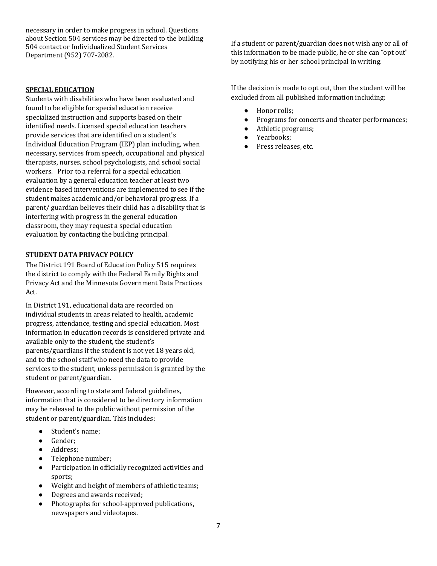necessary in order to make progress in school. Questions about Section 504 services may be directed to the building 504 contact or Individualized Student Services Department (952) 707-2082.

#### **SPECIAL EDUCATION**

Students with disabilities who have been evaluated and found to be eligible for special education receive specialized instruction and supports based on their identified needs. Licensed special education teachers provide services that are identified on a student's Individual Education Program (IEP) plan including, when necessary, services from speech, occupational and physical therapists, nurses, school psychologists, and school social workers. Prior to a referral for a special education evaluation by a general education teacher at least two evidence based interventions are implemented to see if the student makes academic and/or behavioral progress. If a parent/ guardian believes their child has a disability that is interfering with progress in the general education classroom, they may request a special education evaluation by contacting the building principal.

#### **STUDENT DATA PRIVACY POLICY**

The District 191 Board of Educatio[n Policy 515](https://drive.google.com/file/d/0B6hiAh56SOWxQ1ZjdU1MSXRVVG8/view?usp=sharing) requires the district to comply with the Federal Family Rights and Privacy Act and the Minnesota Government Data Practices Act.

In District 191, educational data are recorded on individual students in areas related to health, academic progress, attendance, testing and special education. Most information in education records is considered private and available only to the student, the student's parents/guardians if the student is not yet 18 years old, and to the school staff who need the data to provide services to the student, unless permission is granted by the student or parent/guardian.

However, according to state and federal guidelines, information that is considered to be directory information may be released to the public without permission of the student or parent/guardian. This includes:

- Student's name;
- Gender;
- Address:
- Telephone number;
- Participation in officially recognized activities and sports;
- Weight and height of members of athletic teams;
- Degrees and awards received;
- Photographs for school-approved publications, newspapers and videotapes.

If a student or parent/guardian does not wish any or all of this information to be made public, he or she can "opt out" by notifying his or her school principal in writing.

If the decision is made to opt out, then the student will be excluded from all published information including:

- Honor rolls;
- Programs for concerts and theater performances;<br>• Athletic programs:
- Athletic programs;
- Yearbooks;
- Press releases, etc.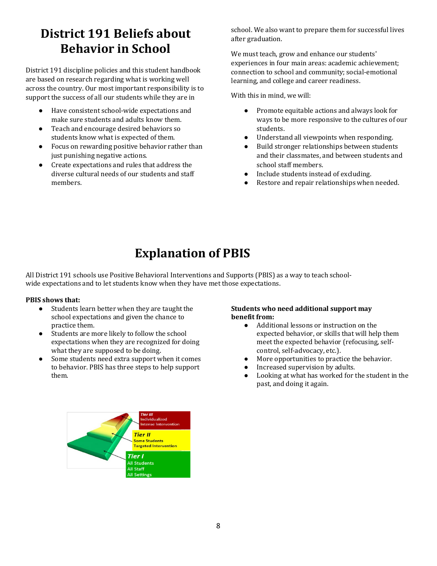# <span id="page-7-0"></span>**District 191 Beliefs about Behavior in School**

District 191 discipline policies and this student handbook are based on research regarding what is working well across the country. Our most important responsibility is to support the success of all our students while they are in

- Have consistent school-wide expectations and make sure students and adults know them.
- Teach and encourage desired behaviors so students know what is expected of them.
- Focus on rewarding positive behavior rather than just punishing negative actions.
- <span id="page-7-1"></span>● Create expectations and rules that address the diverse cultural needs of our students and staff members.

school. We also want to prepare them for successful lives after graduation.

We must teach, grow and enhance our students' experiences in four main areas: academic achievement; connection to school and community; social-emotional learning, and college and career readiness.

With this in mind, we will:

- Promote equitable actions and always look for ways to be more responsive to the cultures of our students.
- Understand all viewpoints when responding.
- Build stronger relationships between students and their classmates, and between students and school staff members.
- Include students instead of excluding.
- Restore and repair relationships when needed.

# **Explanation of PBIS**

All District 191 schools use Positive Behavioral Interventions and Supports (PBIS) as a way to teach schoolwide expectations and to let students know when they have met those expectations.

#### **PBIS shows that:**

- Students learn better when they are taught the school expectations and given the chance to practice them.
- Students are more likely to follow the school expectations when they are recognized for doing what they are supposed to be doing.
- Some students need extra support when it comes to behavior. PBIS has three steps to help support them.

#### **Students who need additional support may benefit from:**

- Additional lessons or instruction on the expected behavior, or skills that will help them meet the expected behavior (refocusing, selfcontrol, self-advocacy, etc.).
- More opportunities to practice the behavior.
- Increased supervision by adults.
- Looking at what has worked for the student in the past, and doing it again.

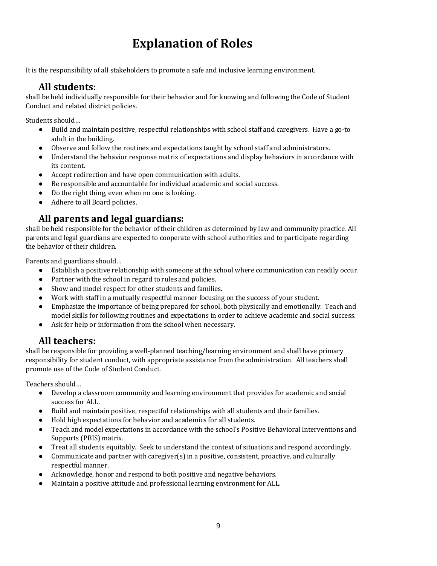# **Explanation of Roles**

<span id="page-8-0"></span>It is the responsibility of all stakeholders to promote a safe and inclusive learning environment.

### **All students:**

<span id="page-8-1"></span>shall be held individually responsible for their behavior and for knowing and following the Code of Student Conduct and related district policies.

Students should…

- Build and maintain positive, respectful relationships with school staff and caregivers. Have a go-to adult in the building.
- Observe and follow the routines and expectations taught by school staff and administrators.
- Understand the behavior response matrix of expectations and display behaviors in accordance with its content.
- Accept redirection and have open communication with adults.
- Be responsible and accountable for individual academic and social success.
- Do the right thing, even when no one is looking.
- Adhere to all Board policies.

# **All parents and legal guardians:**

<span id="page-8-2"></span>shall be held responsible for the behavior of their children as determined by law and community practice. All parents and legal guardians are expected to cooperate with school authorities and to participate regarding the behavior of their children.

Parents and guardians should…

- Establish a positive relationship with someone at the school where communication can readily occur.
- Partner with the school in regard to rules and policies.
- Show and model respect for other students and families.
- Work with staff in a mutually respectful manner focusing on the success of your student.
- Emphasize the importance of being prepared for school, both physically and emotionally. Teach and model skills for following routines and expectations in order to achieve academic and social success.
- Ask for help or information from the school when necessary.

### **All teachers:**

<span id="page-8-3"></span>shall be responsible for providing a well-planned teaching/learning environment and shall have primary responsibility for student conduct, with appropriate assistance from the administration. All teachers shall promote use of the Code of Student Conduct.

Teachers should…

- Develop a classroom community and learning environment that provides for academic and social success for ALL.
- Build and maintain positive, respectful relationships with all students and their families.
- Hold high expectations for behavior and academics for all students.
- Teach and model expectations in accordance with the school's Positive Behavioral Interventions and Supports (PBIS) matrix.
- Treat all students equitably. Seek to understand the context of situations and respond accordingly.
- Communicate and partner with caregiver(s) in a positive, consistent, proactive, and culturally respectful manner.
- Acknowledge, honor and respond to both positive and negative behaviors.
- Maintain a positive attitude and professional learning environment for ALL.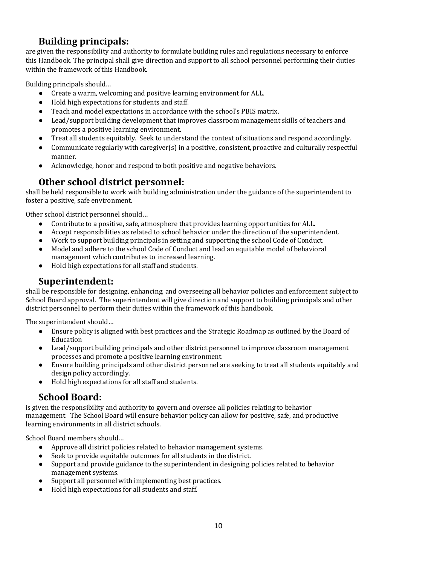### **Building principals:**

<span id="page-9-0"></span>are given the responsibility and authority to formulate building rules and regulations necessary to enforce this Handbook. The principal shall give direction and support to all school personnel performing their duties within the framework of this Handbook.

Building principals should…

- Create a warm, welcoming and positive learning environment for ALL.
- Hold high expectations for students and staff.
- Teach and model expectations in accordance with the school's PBIS matrix.
- Lead/support building development that improves classroom management skills of teachers and promotes a positive learning environment.
- Treat all students equitably. Seek to understand the context of situations and respond accordingly.
- Communicate regularly with caregiver(s) in a positive, consistent, proactive and culturally respectful manner.
- Acknowledge, honor and respond to both positive and negative behaviors.

# **Other school district personnel:**

<span id="page-9-1"></span>shall be held responsible to work with building administration under the guidance of the superintendent to foster a positive, safe environment.

Other school district personnel should…

- Contribute to a positive, safe, atmosphere that provides learning opportunities for ALL.
- Accept responsibilities as related to school behavior under the direction of the superintendent.
- Work to support building principals in setting and supporting the school Code of Conduct.
- Model and adhere to the school Code of Conduct and lead an equitable model of behavioral management which contributes to increased learning.
- Hold high expectations for all staff and students.

### **Superintendent:**

<span id="page-9-2"></span>shall be responsible for designing, enhancing, and overseeing all behavior policies and enforcement subject to School Board approval. The superintendent will give direction and support to building principals and other district personnel to perform their duties within the framework of this handbook.

The superintendent should…

- Ensure policy is aligned with best practices and the Strategic Roadmap as outlined by the Board of Education
- Lead/support building principals and other district personnel to improve classroom management processes and promote a positive learning environment.
- Ensure building principals and other district personnel are seeking to treat all students equitably and design policy accordingly.
- Hold high expectations for all staff and students.

### **School Board:**

<span id="page-9-3"></span>is given the responsibility and authority to govern and oversee all policies relating to behavior management. The School Board will ensure behavior policy can allow for positive, safe, and productive learning environments in all district schools.

School Board members should…

- Approve all district policies related to behavior management systems.
- Seek to provide equitable outcomes for all students in the district.
- Support and provide guidance to the superintendent in designing policies related to behavior management systems.
- Support all personnel with implementing best practices.
- <span id="page-9-4"></span>Hold high expectations for all students and staff.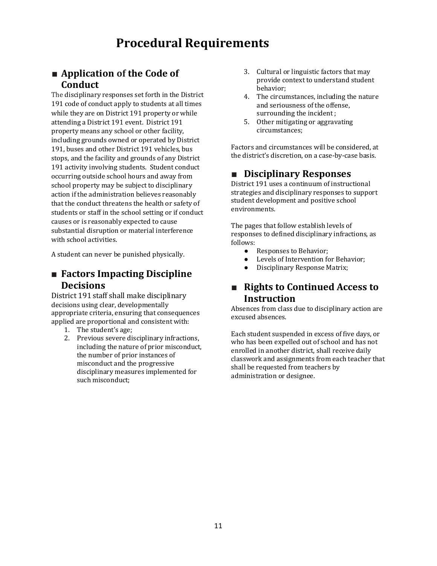# **Procedural Requirements**

# <span id="page-10-0"></span>■ **Application** of the Code of **Conduct**

The disciplinary responses set forth in the District 191 code of conduct apply to students at all times while they are on District 191 property or while attending a District 191 event. District 191 property means any school or other facility, including grounds owned or operated by District 191, buses and other District 191 vehicles, bus stops, and the facility and grounds of any District 191 activity involving students. Student conduct occurring outside school hours and away from school property may be subject to disciplinary action if the administration believes reasonably that the conduct threatens the health or safety of students or staff in the school setting or if conduct causes or is reasonably expected to cause substantial disruption or material interference with school activities.

A student can never be punished physically.

### <span id="page-10-1"></span>■ **Factors Impacting Discipline Decisions**

District 191 staff shall make disciplinary decisions using clear, developmentally appropriate criteria, ensuring that consequences applied are proportional and consistent with:

- 1. The student's age;
- 2. Previous severe disciplinary infractions, including the nature of prior misconduct, the number of prior instances of misconduct and the progressive disciplinary measures implemented for such misconduct;
- 3. Cultural or linguistic factors that may provide context to understand student behavior;
- 4. The circumstances, including the nature and seriousness of the offense, surrounding the incident ;
- 5. Other mitigating or aggravating circumstances;

Factors and circumstances will be considered, at the district's discretion, on a case-by-case basis.

# <span id="page-10-2"></span>■ **Disciplinary Responses**

District 191 uses a continuum of instructional strategies and disciplinary responses to support student development and positive school environments.

The pages that follow establish levels of responses to defined disciplinary infractions, as follows:

- Responses to Behavior;<br>• Levels of Intervention for
- Levels of Intervention for Behavior;<br>● Disciplinary Response Matrix:
- Disciplinary Response Matrix;

### <span id="page-10-3"></span>■ **Rights to Continued Access to Instruction**

Absences from class due to disciplinary action are excused absences.

Each student suspended in excess of five days, or who has been expelled out of school and has not enrolled in another district, shall receive daily classwork and assignments from each teacher that shall be requested from teachers by administration or designee.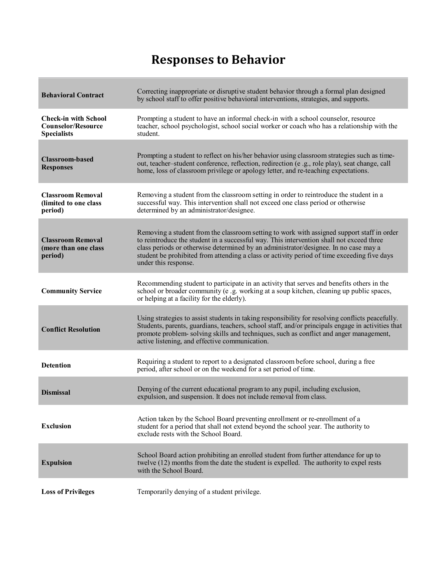# **Responses to Behavior**

<span id="page-11-0"></span>

| <b>Behavioral Contract</b>                                                     | Correcting inappropriate or disruptive student behavior through a formal plan designed<br>by school staff to offer positive behavioral interventions, strategies, and supports.                                                                                                                                                                                                                       |
|--------------------------------------------------------------------------------|-------------------------------------------------------------------------------------------------------------------------------------------------------------------------------------------------------------------------------------------------------------------------------------------------------------------------------------------------------------------------------------------------------|
| <b>Check-in with School</b><br><b>Counselor/Resource</b><br><b>Specialists</b> | Prompting a student to have an informal check-in with a school counselor, resource<br>teacher, school psychologist, school social worker or coach who has a relationship with the<br>student.                                                                                                                                                                                                         |
| <b>Classroom-based</b><br><b>Responses</b>                                     | Prompting a student to reflect on his/her behavior using classroom strategies such as time-<br>out, teacher-student conference, reflection, redirection (e.g., role play), seat change, call<br>home, loss of classroom privilege or apology letter, and re-teaching expectations.                                                                                                                    |
| <b>Classroom Removal</b><br>(limited to one class<br>period)                   | Removing a student from the classroom setting in order to reintroduce the student in a<br>successful way. This intervention shall not exceed one class period or otherwise<br>determined by an administrator/designee.                                                                                                                                                                                |
| <b>Classroom Removal</b><br>(more than one class<br>period)                    | Removing a student from the classroom setting to work with assigned support staff in order<br>to reintroduce the student in a successful way. This intervention shall not exceed three<br>class periods or otherwise determined by an administrator/designee. In no case may a<br>student be prohibited from attending a class or activity period of time exceeding five days<br>under this response. |
| <b>Community Service</b>                                                       | Recommending student to participate in an activity that serves and benefits others in the<br>school or broader community (e .g. working at a soup kitchen, cleaning up public spaces,<br>or helping at a facility for the elderly).                                                                                                                                                                   |
| <b>Conflict Resolution</b>                                                     | Using strategies to assist students in taking responsibility for resolving conflicts peacefully.<br>Students, parents, guardians, teachers, school staff, and/or principals engage in activities that<br>promote problem- solving skills and techniques, such as conflict and anger management,<br>active listening, and effective communication.                                                     |
| <b>Detention</b>                                                               | Requiring a student to report to a designated classroom before school, during a free<br>period, after school or on the weekend for a set period of time.                                                                                                                                                                                                                                              |
| <b>Dismissal</b>                                                               | Denying of the current educational program to any pupil, including exclusion,<br>expulsion, and suspension. It does not include removal from class.                                                                                                                                                                                                                                                   |
| <b>Exclusion</b>                                                               | Action taken by the School Board preventing enrollment or re-enrollment of a<br>student for a period that shall not extend beyond the school year. The authority to<br>exclude rests with the School Board.                                                                                                                                                                                           |
| <b>Expulsion</b>                                                               | School Board action prohibiting an enrolled student from further attendance for up to<br>twelve (12) months from the date the student is expelled. The authority to expel rests<br>with the School Board.                                                                                                                                                                                             |
| <b>Loss of Privileges</b>                                                      | Temporarily denying of a student privilege.                                                                                                                                                                                                                                                                                                                                                           |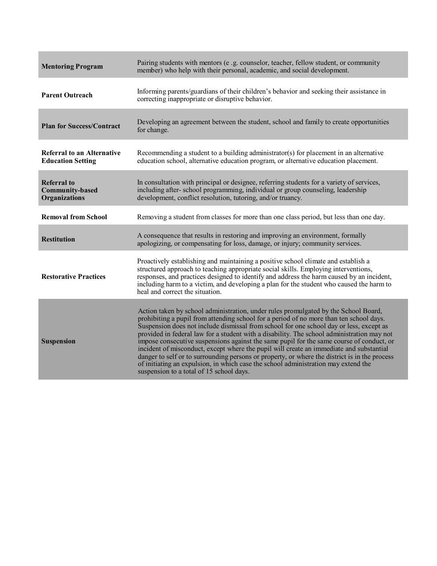| <b>Mentoring Program</b>                                             | Pairing students with mentors (e .g. counselor, teacher, fellow student, or community<br>member) who help with their personal, academic, and social development.                                                                                                                                                                                                                                                                                                                                                                                                                                                                                                                                                                                                                                  |
|----------------------------------------------------------------------|---------------------------------------------------------------------------------------------------------------------------------------------------------------------------------------------------------------------------------------------------------------------------------------------------------------------------------------------------------------------------------------------------------------------------------------------------------------------------------------------------------------------------------------------------------------------------------------------------------------------------------------------------------------------------------------------------------------------------------------------------------------------------------------------------|
| <b>Parent Outreach</b>                                               | Informing parents/guardians of their children's behavior and seeking their assistance in<br>correcting inappropriate or disruptive behavior.                                                                                                                                                                                                                                                                                                                                                                                                                                                                                                                                                                                                                                                      |
| <b>Plan for Success/Contract</b>                                     | Developing an agreement between the student, school and family to create opportunities<br>for change.                                                                                                                                                                                                                                                                                                                                                                                                                                                                                                                                                                                                                                                                                             |
| <b>Referral to an Alternative</b><br><b>Education Setting</b>        | Recommending a student to a building administrator(s) for placement in an alternative<br>education school, alternative education program, or alternative education placement.                                                                                                                                                                                                                                                                                                                                                                                                                                                                                                                                                                                                                     |
| <b>Referral to</b><br><b>Community-based</b><br><b>Organizations</b> | In consultation with principal or designee, referring students for a variety of services,<br>including after-school programming, individual or group counseling, leadership<br>development, conflict resolution, tutoring, and/or truancy.                                                                                                                                                                                                                                                                                                                                                                                                                                                                                                                                                        |
| <b>Removal from School</b>                                           | Removing a student from classes for more than one class period, but less than one day.                                                                                                                                                                                                                                                                                                                                                                                                                                                                                                                                                                                                                                                                                                            |
| <b>Restitution</b>                                                   | A consequence that results in restoring and improving an environment, formally<br>apologizing, or compensating for loss, damage, or injury; community services.                                                                                                                                                                                                                                                                                                                                                                                                                                                                                                                                                                                                                                   |
| <b>Restorative Practices</b>                                         | Proactively establishing and maintaining a positive school climate and establish a<br>structured approach to teaching appropriate social skills. Employing interventions,<br>responses, and practices designed to identify and address the harm caused by an incident,<br>including harm to a victim, and developing a plan for the student who caused the harm to<br>heal and correct the situation.                                                                                                                                                                                                                                                                                                                                                                                             |
| <b>Suspension</b>                                                    | Action taken by school administration, under rules promulgated by the School Board,<br>prohibiting a pupil from attending school for a period of no more than ten school days.<br>Suspension does not include dismissal from school for one school day or less, except as<br>provided in federal law for a student with a disability. The school administration may not<br>impose consecutive suspensions against the same pupil for the same course of conduct, or<br>incident of misconduct, except where the pupil will create an immediate and substantial<br>danger to self or to surrounding persons or property, or where the district is in the process<br>of initiating an expulsion, in which case the school administration may extend the<br>suspension to a total of 15 school days. |

the contract of the contract of the contract of the contract of the contract of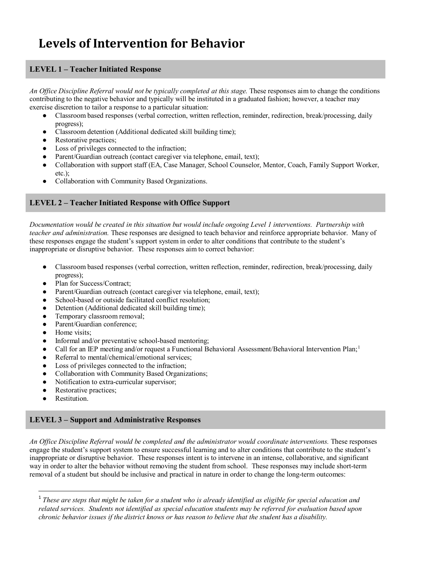# <span id="page-13-0"></span>**Levels of Intervention for Behavior**

#### **LEVEL 1 – Teacher Initiated Response**

*An Office Discipline Referral would not be typically completed at this stage.* These responses aim to change the conditions contributing to the negative behavior and typically will be instituted in a graduated fashion; however, a teacher may exercise discretion to tailor a response to a particular situation:

- Classroom based responses (verbal correction, written reflection, reminder, redirection, break/processing, daily progress);
- Classroom detention (Additional dedicated skill building time);
- Restorative practices;
- Loss of privileges connected to the infraction;
- Parent/Guardian outreach (contact caregiver via telephone, email, text);
- Collaboration with support staff (EA, Case Manager, School Counselor, Mentor, Coach, Family Support Worker, etc.);
- Collaboration with Community Based Organizations.

#### **LEVEL 2 – Teacher Initiated Response with Office Support**

*Documentation would be created in this situation but would include ongoing Level 1 interventions. Partnership with teacher and administration.* These responses are designed to teach behavior and reinforce appropriate behavior. Many of these responses engage the student's support system in order to alter conditions that contribute to the student's inappropriate or disruptive behavior. These responses aim to correct behavior:

- Classroom based responses (verbal correction, written reflection, reminder, redirection, break/processing, daily progress);
- Plan for Success/Contract;
- Parent/Guardian outreach (contact caregiver via telephone, email, text);
- School-based or outside facilitated conflict resolution:
- Detention (Additional dedicated skill building time);
- Temporary classroom removal;<br>• Parent/Guardian conference:
- Parent/Guardian conference;
- Home visits:
- Informal and/or preventative school-based mentoring;
- Call for an IEP meeting and/or request a Functional Behavioral Assessment/Behavioral Intervention Plan;<sup>1</sup>
- Referral to mental/chemical/emotional services;
- Loss of privileges connected to the infraction;
- Collaboration with Community Based Organizations;
- Notification to extra-curricular supervisor;
- Restorative practices;
- Restitution.

l

#### **LEVEL 3 – Support and Administrative Responses**

*An Office Discipline Referral would be completed and the administrator would coordinate interventions.* These responses engage the student's support system to ensure successful learning and to alter conditions that contribute to the student's inappropriate or disruptive behavior. These responses intent is to intervene in an intense, collaborative, and significant way in order to alter the behavior without removing the student from school. These responses may include short-term removal of a student but should be inclusive and practical in nature in order to change the long-term outcomes:

<span id="page-13-1"></span><sup>1</sup> *These are steps that might be taken for a student who is already identified as eligible for special education and related services. Students not identified as special education students may be referred for evaluation based upon chronic behavior issues if the district knows or has reason to believe that the student has a disability.*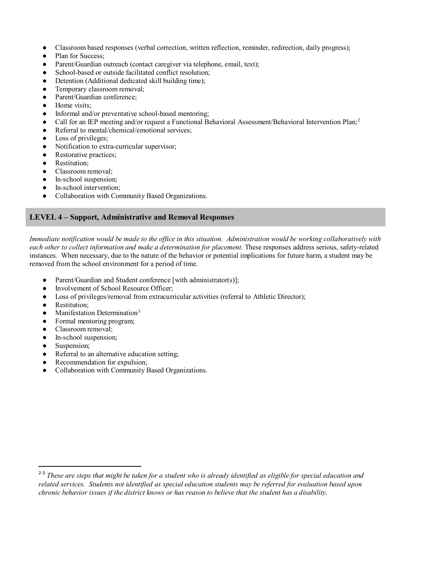- Classroom based responses (verbal correction, written reflection, reminder, redirection, daily progress);
- Plan for Success;
- Parent/Guardian outreach (contact caregiver via telephone, email, text);
- School-based or outside facilitated conflict resolution;
- Detention (Additional dedicated skill building time);
- Temporary classroom removal;
- Parent/Guardian conference;
- Home visits:
- Informal and/or preventative school-based mentoring;
- Call for an IEP meeting and/or request a Functional Behavioral Assessment/Behavioral Intervention Plan;<sup>2</sup>
- Referral to mental/chemical/emotional services;
- Loss of privileges;
- Notification to extra-curricular supervisor;
- Restorative practices;
- Restitution;
- Classroom removal:
- In-school suspension:
- In-school intervention;
- Collaboration with Community Based Organizations.

#### **LEVEL 4 – Support, Administrative and Removal Responses**

*Immediate notification would be made to the office in this situation. Administration would be working collaboratively with each other to collect information and make a determination for placement.* These responses address serious, safety-related instances. When necessary, due to the nature of the behavior or potential implications for future harm, a student may be removed from the school environment for a period of time.

- Parent/Guardian and Student conference [with administrator(s)];
- Involvement of School Resource Officer:
- Loss of privileges/removal from extracurricular activities (referral to Athletic Director);
- Restitution;
- $\bullet$  Manifestation Determination<sup>[3](#page-14-2)</sup>
- Formal mentoring program;
- Classroom removal;
- In-school suspension;
- Suspension;

 $\overline{a}$ 

- Referral to an alternative education setting;
- Recommendation for expulsion;
- <span id="page-14-0"></span>● Collaboration with Community Based Organizations.

<span id="page-14-2"></span><span id="page-14-1"></span><sup>&</sup>lt;sup>2-3</sup> These are steps that might be taken for a student who is already identified as eligible for special education and *related services. Students not identified as special education students may be referred for evaluation based upon chronic behavior issues if the district knows or has reason to believe that the student has a disability.*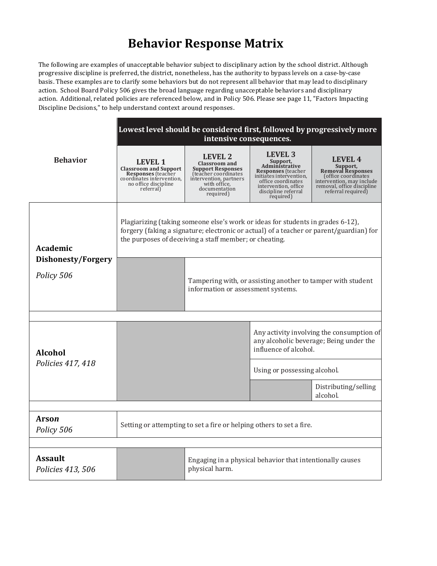# **Behavior Response Matrix**

The following are examples of unacceptable behavior subject to disciplinary action by the school district. Although progressive discipline is preferred, the district, nonetheless, has the authority to bypass levels on a case-by-case basis. These examples are to clarify some behaviors but do not represent all behavior that may lead to disciplinary action. School Board [Policy 506](https://drive.google.com/file/d/0B6hiAh56SOWxSklXa3NrbmNQWWs/view?usp=sharing) gives the broad language regarding unacceptable behaviors and disciplinary action. Additional, related policies are referenced below, and in [Policy 506.](https://drive.google.com/file/d/0B6hiAh56SOWxSklXa3NrbmNQWWs/view?usp=sharing) Please see page 11, "Factors Impacting Discipline Decisions," to help understand context around responses.

|                                     | Lowest level should be considered first, followed by progressively more<br>intensive consequences.                                        |                                                                                                                                                              |                                                                                                                                                                                 |                                                                                                                                                         |
|-------------------------------------|-------------------------------------------------------------------------------------------------------------------------------------------|--------------------------------------------------------------------------------------------------------------------------------------------------------------|---------------------------------------------------------------------------------------------------------------------------------------------------------------------------------|---------------------------------------------------------------------------------------------------------------------------------------------------------|
| <b>Behavior</b>                     | LEVEL 1<br><b>Classroom and Support</b><br><b>Responses</b> (teacher<br>coordinates intervention.<br>no office discipline<br>referral)    | LEVEL 2<br><b>Classroom</b> and<br><b>Support Responses</b><br>(teacher coordinates)<br>intervention, partners<br>with office.<br>documentation<br>required) | LEVEL 3<br>Support,<br>Administrative<br><b>Responses</b> (teacher<br>initiates intervention,<br>office coordinates<br>intervention, office<br>discipline referral<br>required) | LEVEL 4<br>Support,<br><b>Removal Responses</b><br>(office coordinates<br>intervention, may include<br>removal, office discipline<br>referral required) |
| <b>Academic</b>                     | Plagiarizing (taking someone else's work or ideas for students in grades 6-12),<br>the purposes of deceiving a staff member; or cheating. |                                                                                                                                                              |                                                                                                                                                                                 | forgery (faking a signature; electronic or actual) of a teacher or parent/guardian) for                                                                 |
| Dishonesty/Forgery<br>Policy 506    |                                                                                                                                           | Tampering with, or assisting another to tamper with student<br>information or assessment systems.                                                            |                                                                                                                                                                                 |                                                                                                                                                         |
|                                     |                                                                                                                                           |                                                                                                                                                              |                                                                                                                                                                                 |                                                                                                                                                         |
| <b>Alcohol</b>                      |                                                                                                                                           |                                                                                                                                                              | influence of alcohol.                                                                                                                                                           | Any activity involving the consumption of<br>any alcoholic beverage; Being under the                                                                    |
| Policies 417, 418                   |                                                                                                                                           |                                                                                                                                                              | Using or possessing alcohol.                                                                                                                                                    |                                                                                                                                                         |
|                                     |                                                                                                                                           |                                                                                                                                                              |                                                                                                                                                                                 | Distributing/selling<br>alcohol.                                                                                                                        |
|                                     |                                                                                                                                           |                                                                                                                                                              |                                                                                                                                                                                 |                                                                                                                                                         |
| Arson<br>Policy 506                 | Setting or attempting to set a fire or helping others to set a fire.                                                                      |                                                                                                                                                              |                                                                                                                                                                                 |                                                                                                                                                         |
|                                     |                                                                                                                                           |                                                                                                                                                              |                                                                                                                                                                                 |                                                                                                                                                         |
| <b>Assault</b><br>Policies 413, 506 |                                                                                                                                           | Engaging in a physical behavior that intentionally causes<br>physical harm.                                                                                  |                                                                                                                                                                                 |                                                                                                                                                         |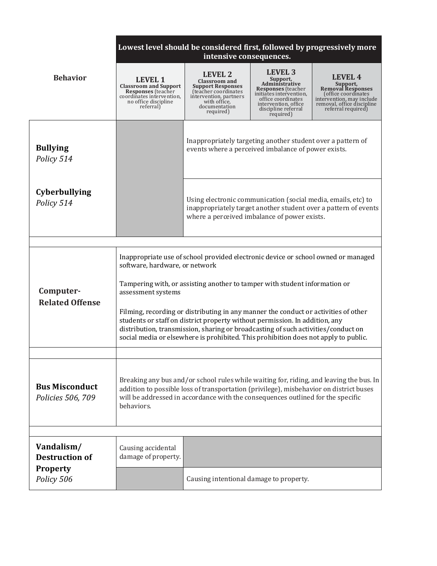|                                            | Lowest level should be considered first, followed by progressively more<br>intensive consequences.                                                                                                                                                                                                                                                                                                                                                                                                                                                                        |                                                                                                                                                                    |                                                                                                                                                                                            |                                                                                                                                                         |
|--------------------------------------------|---------------------------------------------------------------------------------------------------------------------------------------------------------------------------------------------------------------------------------------------------------------------------------------------------------------------------------------------------------------------------------------------------------------------------------------------------------------------------------------------------------------------------------------------------------------------------|--------------------------------------------------------------------------------------------------------------------------------------------------------------------|--------------------------------------------------------------------------------------------------------------------------------------------------------------------------------------------|---------------------------------------------------------------------------------------------------------------------------------------------------------|
| <b>Behavior</b>                            | <b>LEVEL 1</b><br><b>Classroom and Support Responses</b> (teacher<br>coordinates intervention.<br>no office discipline<br>referral)                                                                                                                                                                                                                                                                                                                                                                                                                                       | <b>LEVEL 2</b><br><b>Classroom and</b><br><b>Support Responses</b><br>(teacher coordinates<br>intervention, partners<br>with office,<br>documentation<br>required) | LEVEL <sub>3</sub><br>Support,<br>Administrative<br><b>Responses</b> (teacher<br>initiates intervention,<br>office coordinates<br>intervention, office<br>discipline referral<br>required) | LFVFL 4<br>Support.<br><b>Removal Responses</b><br>(office coordinates<br>intervention, may include<br>removal, office discipline<br>referral required) |
| <b>Bullying</b><br>Policy 514              |                                                                                                                                                                                                                                                                                                                                                                                                                                                                                                                                                                           | Inappropriately targeting another student over a pattern of<br>events where a perceived imbalance of power exists.                                                 |                                                                                                                                                                                            |                                                                                                                                                         |
| <b>Cyberbullying</b><br>Policy 514         |                                                                                                                                                                                                                                                                                                                                                                                                                                                                                                                                                                           | Using electronic communication (social media, emails, etc) to<br>where a perceived imbalance of power exists.                                                      |                                                                                                                                                                                            | inappropriately target another student over a pattern of events                                                                                         |
|                                            |                                                                                                                                                                                                                                                                                                                                                                                                                                                                                                                                                                           |                                                                                                                                                                    |                                                                                                                                                                                            |                                                                                                                                                         |
| Computer-<br><b>Related Offense</b>        | Inappropriate use of school provided electronic device or school owned or managed<br>software, hardware, or network<br>Tampering with, or assisting another to tamper with student information or<br>assessment systems<br>Filming, recording or distributing in any manner the conduct or activities of other<br>students or staff on district property without permission. In addition, any<br>distribution, transmission, sharing or broadcasting of such activities/conduct on<br>social media or elsewhere is prohibited. This prohibition does not apply to public. |                                                                                                                                                                    |                                                                                                                                                                                            |                                                                                                                                                         |
| <b>Bus Misconduct</b><br>Policies 506, 709 | Breaking any bus and/or school rules while waiting for, riding, and leaving the bus. In<br>addition to possible loss of transportation (privilege), misbehavior on district buses<br>will be addressed in accordance with the consequences outlined for the specific<br>behaviors.                                                                                                                                                                                                                                                                                        |                                                                                                                                                                    |                                                                                                                                                                                            |                                                                                                                                                         |
|                                            |                                                                                                                                                                                                                                                                                                                                                                                                                                                                                                                                                                           |                                                                                                                                                                    |                                                                                                                                                                                            |                                                                                                                                                         |
| Vandalism/<br><b>Destruction of</b>        | Causing accidental<br>damage of property.                                                                                                                                                                                                                                                                                                                                                                                                                                                                                                                                 |                                                                                                                                                                    |                                                                                                                                                                                            |                                                                                                                                                         |
| <b>Property</b><br>Policy 506              |                                                                                                                                                                                                                                                                                                                                                                                                                                                                                                                                                                           | Causing intentional damage to property.                                                                                                                            |                                                                                                                                                                                            |                                                                                                                                                         |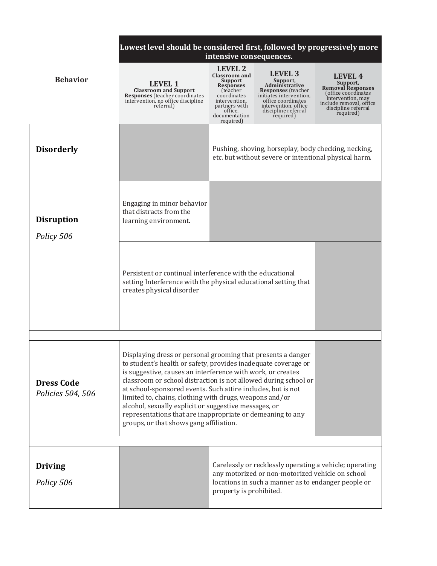|                                        | Lowest level should be considered first, followed by progressively more<br>intensive consequences.                                                                                                                                                                                                                                                                                                                                                                                                                                                            |                                                                                                                                                                              |                                                                                                                                                                                        |                                                                                                                                                                   |
|----------------------------------------|---------------------------------------------------------------------------------------------------------------------------------------------------------------------------------------------------------------------------------------------------------------------------------------------------------------------------------------------------------------------------------------------------------------------------------------------------------------------------------------------------------------------------------------------------------------|------------------------------------------------------------------------------------------------------------------------------------------------------------------------------|----------------------------------------------------------------------------------------------------------------------------------------------------------------------------------------|-------------------------------------------------------------------------------------------------------------------------------------------------------------------|
| <b>Behavior</b>                        | <b>LEVEL 1</b><br><b>Classroom and Support</b><br>Responses (teacher coordinates<br>intervention, no office discipline<br>referral)                                                                                                                                                                                                                                                                                                                                                                                                                           | LEVEL 2<br><b>Classroom and</b><br><b>Support</b><br><b>Responses</b><br>(teacher)<br>coordinates<br>intervention,<br>partners with<br>office,<br>documentation<br>required) | <b>LEVEL 3</b><br>Support,<br>Administrative<br><b>Responses</b> (teacher<br>initiates intervention,<br>office coordinates<br>intervention, office<br>discipline referral<br>required) | <b>LEVEL 4</b><br>Support,<br><b>Removal Responses</b><br>(office coordinates<br>intervention, may<br>include removal, office<br>discipline referral<br>required) |
| <b>Disorderly</b>                      |                                                                                                                                                                                                                                                                                                                                                                                                                                                                                                                                                               |                                                                                                                                                                              | Pushing, shoving, horseplay, body checking, necking,<br>etc. but without severe or intentional physical harm.                                                                          |                                                                                                                                                                   |
| <b>Disruption</b><br>Policy 506        | Engaging in minor behavior<br>that distracts from the<br>learning environment.                                                                                                                                                                                                                                                                                                                                                                                                                                                                                |                                                                                                                                                                              |                                                                                                                                                                                        |                                                                                                                                                                   |
|                                        | Persistent or continual interference with the educational<br>setting Interference with the physical educational setting that<br>creates physical disorder                                                                                                                                                                                                                                                                                                                                                                                                     |                                                                                                                                                                              |                                                                                                                                                                                        |                                                                                                                                                                   |
|                                        |                                                                                                                                                                                                                                                                                                                                                                                                                                                                                                                                                               |                                                                                                                                                                              |                                                                                                                                                                                        |                                                                                                                                                                   |
| <b>Dress Code</b><br>Policies 504, 506 | Displaying dress or personal grooming that presents a danger<br>to student's health or safety, provides inadequate coverage or<br>is suggestive, causes an interference with work, or creates<br>classroom or school distraction is not allowed during school or<br>at school-sponsored events. Such attire includes, but is not<br>limited to, chains, clothing with drugs, weapons and/or<br>alcohol, sexually explicit or suggestive messages, or<br>representations that are inappropriate or demeaning to any<br>groups, or that shows gang affiliation. |                                                                                                                                                                              |                                                                                                                                                                                        |                                                                                                                                                                   |
|                                        |                                                                                                                                                                                                                                                                                                                                                                                                                                                                                                                                                               |                                                                                                                                                                              |                                                                                                                                                                                        |                                                                                                                                                                   |
| <b>Driving</b><br>Policy 506           |                                                                                                                                                                                                                                                                                                                                                                                                                                                                                                                                                               | property is prohibited.                                                                                                                                                      | any motorized or non-motorized vehicle on school<br>locations in such a manner as to endanger people or                                                                                | Carelessly or recklessly operating a vehicle; operating                                                                                                           |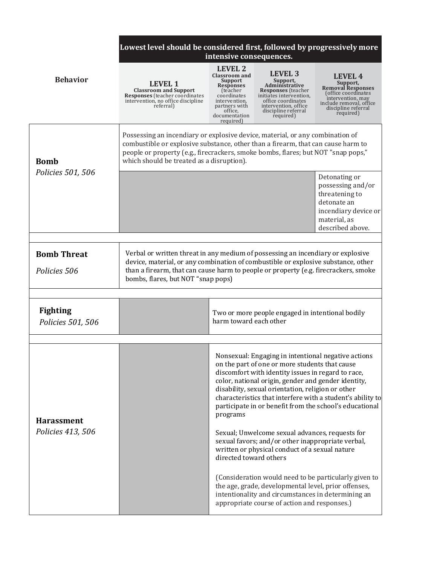|                                      | Lowest level should be considered first, followed by progressively more                                                                                                                                                                                                                             | intensive consequences.                                                                                                                                                            |                                                                                                                                                                                                                                                                         |                                                                                                                                                                   |
|--------------------------------------|-----------------------------------------------------------------------------------------------------------------------------------------------------------------------------------------------------------------------------------------------------------------------------------------------------|------------------------------------------------------------------------------------------------------------------------------------------------------------------------------------|-------------------------------------------------------------------------------------------------------------------------------------------------------------------------------------------------------------------------------------------------------------------------|-------------------------------------------------------------------------------------------------------------------------------------------------------------------|
| <b>Behavior</b>                      | <b>LEVEL 1</b><br><b>Classroom and Support</b><br><b>Responses</b> (teacher coordinates<br>intervention, no office discipline<br>referral)                                                                                                                                                          | LEVEL 2<br><b>Classroom and</b><br><b>Support</b><br><b>Responses</b><br><i>fteacher</i><br>coordinates<br>intervention.<br>partners with<br>office,<br>documentation<br>required) | <b>LEVEL 3</b><br>Support,<br>Administrative<br><b>Responses</b> (teacher<br>initiates intervention,<br>office coordinates<br>intervention, office<br>discipline referral<br>required)                                                                                  | <b>LEVEL 4</b><br>Support,<br><b>Removal Responses</b><br>(office coordinates<br>intervention, may<br>include removal, office<br>discipline referral<br>required) |
| <b>Bomb</b>                          | Possessing an incendiary or explosive device, material, or any combination of<br>combustible or explosive substance, other than a firearm, that can cause harm to<br>people or property (e.g., firecrackers, smoke bombs, flares; but NOT "snap pops,"<br>which should be treated as a disruption). |                                                                                                                                                                                    |                                                                                                                                                                                                                                                                         |                                                                                                                                                                   |
| Policies 501, 506                    |                                                                                                                                                                                                                                                                                                     |                                                                                                                                                                                    |                                                                                                                                                                                                                                                                         | Detonating or<br>possessing and/or<br>threatening to<br>detonate an<br>incendiary device or<br>material, as<br>described above.                                   |
|                                      |                                                                                                                                                                                                                                                                                                     |                                                                                                                                                                                    |                                                                                                                                                                                                                                                                         |                                                                                                                                                                   |
| <b>Bomb Threat</b>                   | Verbal or written threat in any medium of possessing an incendiary or explosive                                                                                                                                                                                                                     |                                                                                                                                                                                    |                                                                                                                                                                                                                                                                         |                                                                                                                                                                   |
| Policies 506                         | device, material, or any combination of combustible or explosive substance, other<br>than a firearm, that can cause harm to people or property (e.g. firecrackers, smoke<br>bombs, flares, but NOT "snap pops)                                                                                      |                                                                                                                                                                                    |                                                                                                                                                                                                                                                                         |                                                                                                                                                                   |
|                                      |                                                                                                                                                                                                                                                                                                     |                                                                                                                                                                                    |                                                                                                                                                                                                                                                                         |                                                                                                                                                                   |
| <b>Fighting</b><br>Policies 501, 506 |                                                                                                                                                                                                                                                                                                     | harm toward each other                                                                                                                                                             | Two or more people engaged in intentional bodily                                                                                                                                                                                                                        |                                                                                                                                                                   |
|                                      |                                                                                                                                                                                                                                                                                                     |                                                                                                                                                                                    |                                                                                                                                                                                                                                                                         |                                                                                                                                                                   |
| <b>Harassment</b>                    |                                                                                                                                                                                                                                                                                                     | programs                                                                                                                                                                           | Nonsexual: Engaging in intentional negative actions<br>on the part of one or more students that cause<br>discomfort with identity issues in regard to race,<br>color, national origin, gender and gender identity,<br>disability, sexual orientation, religion or other | characteristics that interfere with a student's ability to<br>participate in or benefit from the school's educational                                             |
| Policies 413, 506                    |                                                                                                                                                                                                                                                                                                     | directed toward others                                                                                                                                                             | Sexual; Unwelcome sexual advances, requests for<br>sexual favors; and/or other inappropriate verbal,<br>written or physical conduct of a sexual nature                                                                                                                  |                                                                                                                                                                   |
|                                      |                                                                                                                                                                                                                                                                                                     |                                                                                                                                                                                    | the age, grade, developmental level, prior offenses,<br>intentionality and circumstances in determining an<br>appropriate course of action and responses.)                                                                                                              | (Consideration would need to be particularly given to                                                                                                             |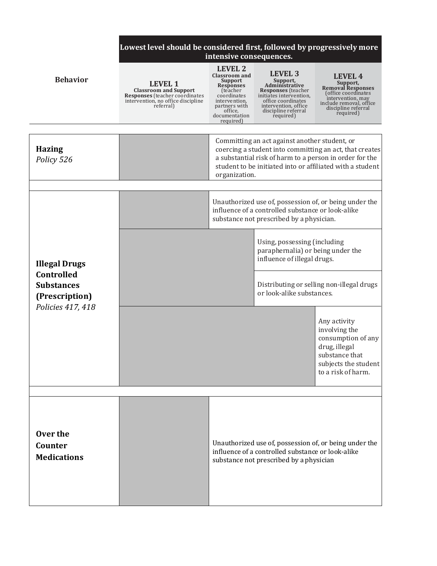|                                                                                                | Lowest level should be considered first, followed by progressively more<br>intensive consequences.                                         |                                                                                                                                                                       |                                                                                                                                                                                        |                                                                                                                                                                                 |
|------------------------------------------------------------------------------------------------|--------------------------------------------------------------------------------------------------------------------------------------------|-----------------------------------------------------------------------------------------------------------------------------------------------------------------------|----------------------------------------------------------------------------------------------------------------------------------------------------------------------------------------|---------------------------------------------------------------------------------------------------------------------------------------------------------------------------------|
| <b>Behavior</b>                                                                                | <b>LEVEL 1</b><br><b>Classroom and Support</b><br><b>Responses</b> (teacher coordinates<br>intervention, no office discipline<br>referral) | LEVEL 2<br><b>Classroom and</b><br>Support<br><b>Responses</b><br>(teacher)<br>coordinates<br>intervention,<br>partners with<br>office,<br>documentation<br>required) | <b>LEVEL 3</b><br>Support,<br>Administrative<br><b>Responses</b> (teacher<br>initiates intervention,<br>office coordinates<br>intervention, office<br>discipline referral<br>required) | LEVEL 4<br>Support,<br><b>Removal Responses</b><br>(office coordinates<br>intervention, may<br>include removal, office<br>discipline referral<br>required)                      |
| <b>Hazing</b><br>Policy 526                                                                    |                                                                                                                                            | organization.                                                                                                                                                         | Committing an act against another student, or                                                                                                                                          | coercing a student into committing an act, that creates<br>a substantial risk of harm to a person in order for the<br>student to be initiated into or affiliated with a student |
| <b>Illegal Drugs</b><br>Controlled<br><b>Substances</b><br>(Prescription)<br>Policies 417, 418 |                                                                                                                                            |                                                                                                                                                                       | Unauthorized use of, possession of, or being under the<br>influence of a controlled substance or look-alike<br>substance not prescribed by a physician.                                |                                                                                                                                                                                 |
|                                                                                                |                                                                                                                                            |                                                                                                                                                                       | Using, possessing (including<br>paraphernalia) or being under the<br>influence of illegal drugs.                                                                                       |                                                                                                                                                                                 |
|                                                                                                |                                                                                                                                            |                                                                                                                                                                       | Distributing or selling non-illegal drugs<br>or look-alike substances.                                                                                                                 |                                                                                                                                                                                 |
|                                                                                                |                                                                                                                                            |                                                                                                                                                                       |                                                                                                                                                                                        | Any activity<br>involving the<br>consumption of any<br>drug, illegal<br>substance that<br>subjects the student<br>to a risk of harm.                                            |
| Over the<br>Counter<br><b>Medications</b>                                                      |                                                                                                                                            |                                                                                                                                                                       | influence of a controlled substance or look-alike<br>substance not prescribed by a physician                                                                                           | Unauthorized use of, possession of, or being under the                                                                                                                          |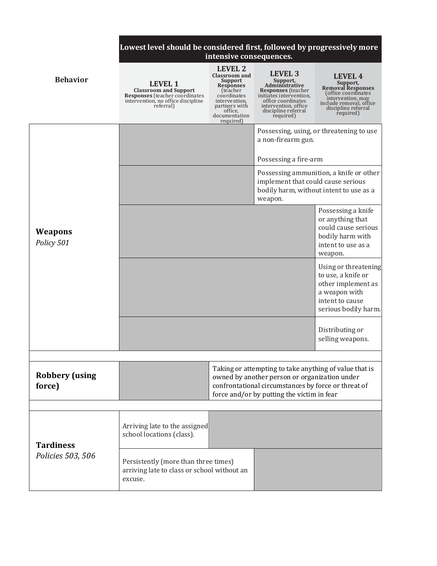|                                 | Lowest level should be considered first, followed by progressively more<br>intensive consequences.                                          |                                                                                                                                                                              |                                                                                                                                                                                                              |                                                                                                                                                            |
|---------------------------------|---------------------------------------------------------------------------------------------------------------------------------------------|------------------------------------------------------------------------------------------------------------------------------------------------------------------------------|--------------------------------------------------------------------------------------------------------------------------------------------------------------------------------------------------------------|------------------------------------------------------------------------------------------------------------------------------------------------------------|
| <b>Behavior</b>                 | <b>LEVEL 1</b><br><b>Classroom and Support</b><br><b>Responses</b> (teacher coordinates)<br>intervention, no office discipline<br>referral) | <b>LEVEL 2</b><br><b>Classroom and</b><br>Support<br><b>Responses</b><br>(teacher)<br>coordinates<br>intervention,<br>partners with<br>office,<br>documentation<br>required) | LEVEL <sub>3</sub><br>Support,<br>Administrative<br><b>Responses</b> (teacher<br>initiates intervention,<br>office coordinates<br>intervention, office<br>discipline referral<br>required)                   | LEVEL 4<br>Support,<br><b>Removal Responses</b><br>(office coordinates<br>intervention, may<br>include removal, office<br>discipline referral<br>required) |
|                                 |                                                                                                                                             |                                                                                                                                                                              | a non-firearm gun.                                                                                                                                                                                           | Possessing, using, or threatening to use                                                                                                                   |
|                                 |                                                                                                                                             |                                                                                                                                                                              | Possessing a fire-arm<br>implement that could cause serious<br>weapon.                                                                                                                                       | Possessing ammunition, a knife or other<br>bodily harm, without intent to use as a                                                                         |
| Weapons<br>Policy 501           |                                                                                                                                             |                                                                                                                                                                              |                                                                                                                                                                                                              | Possessing a knife<br>or anything that<br>could cause serious<br>bodily harm with<br>intent to use as a<br>weapon.                                         |
|                                 |                                                                                                                                             |                                                                                                                                                                              |                                                                                                                                                                                                              | Using or threatening<br>to use, a knife or<br>other implement as<br>a weapon with<br>intent to cause<br>serious bodily harm.                               |
|                                 |                                                                                                                                             |                                                                                                                                                                              |                                                                                                                                                                                                              | Distributing or<br>selling weapons.                                                                                                                        |
| <b>Robbery</b> (using<br>force) |                                                                                                                                             |                                                                                                                                                                              | Taking or attempting to take anything of value that is<br>owned by another person or organization under<br>confrontational circumstances by force or threat of<br>force and/or by putting the victim in fear |                                                                                                                                                            |
| <b>Tardiness</b>                | Arriving late to the assigned<br>school locations (class).                                                                                  |                                                                                                                                                                              |                                                                                                                                                                                                              |                                                                                                                                                            |
| Policies 503, 506               | Persistently (more than three times)<br>arriving late to class or school without an<br>excuse.                                              |                                                                                                                                                                              |                                                                                                                                                                                                              |                                                                                                                                                            |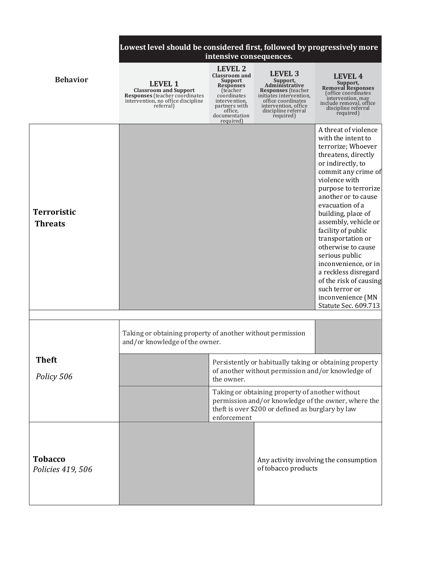|                                      | Lowest level should be considered first, followed by progressively more                                                                    | intensive consequences.                                                                                                                                                      |                                                                                                                                                                                            |                                                                                                                                                                                                                                                                                                                                                                                                                                                                                                  |
|--------------------------------------|--------------------------------------------------------------------------------------------------------------------------------------------|------------------------------------------------------------------------------------------------------------------------------------------------------------------------------|--------------------------------------------------------------------------------------------------------------------------------------------------------------------------------------------|--------------------------------------------------------------------------------------------------------------------------------------------------------------------------------------------------------------------------------------------------------------------------------------------------------------------------------------------------------------------------------------------------------------------------------------------------------------------------------------------------|
| <b>Behavior</b>                      | <b>LEVEL 1</b><br><b>Classroom and Support</b><br><b>Responses</b> (teacher coordinates<br>intervention, no office discipline<br>referral) | <b>LEVEL 2</b><br><b>Classroom and</b><br>Support<br><b>Responses</b><br>(teacher)<br>coordinates<br>intervention,<br>partners with<br>office,<br>documentation<br>required) | LEVEL <sub>3</sub><br>Support,<br>Administrative<br><b>Responses</b> (teacher<br>initiates intervention,<br>office coordinates<br>intervention, office<br>discipline referral<br>required) | <b>LEVEL 4</b><br>Support,<br><b>Removal Responses</b><br>(office coordinates<br>intervention, may<br>include removal, office<br>discipline referral<br>required)                                                                                                                                                                                                                                                                                                                                |
| <b>Terroristic</b><br><b>Threats</b> |                                                                                                                                            |                                                                                                                                                                              |                                                                                                                                                                                            | A threat of violence<br>with the intent to<br>terrorize; Whoever<br>threatens, directly<br>or indirectly, to<br>commit any crime of<br>violence with<br>purpose to terrorize<br>another or to cause<br>evacuation of a<br>building, place of<br>assembly, vehicle or<br>facility of public<br>transportation or<br>otherwise to cause<br>serious public<br>inconvenience, or in<br>a reckless disregard<br>of the risk of causing<br>such terror or<br>inconvenience (MN<br>Statute Sec. 609.713 |
|                                      | Taking or obtaining property of another without permission<br>and/or knowledge of the owner.                                               |                                                                                                                                                                              |                                                                                                                                                                                            |                                                                                                                                                                                                                                                                                                                                                                                                                                                                                                  |
| <b>Theft</b><br>Policy 506           |                                                                                                                                            | the owner.                                                                                                                                                                   | of another without permission and/or knowledge of                                                                                                                                          | Persistently or habitually taking or obtaining property                                                                                                                                                                                                                                                                                                                                                                                                                                          |
|                                      |                                                                                                                                            | Taking or obtaining property of another without<br>permission and/or knowledge of the owner, where the<br>theft is over \$200 or defined as burglary by law<br>enforcement   |                                                                                                                                                                                            |                                                                                                                                                                                                                                                                                                                                                                                                                                                                                                  |
| <b>Tobacco</b><br>Policies 419, 506  |                                                                                                                                            |                                                                                                                                                                              | of tobacco products                                                                                                                                                                        | Any activity involving the consumption                                                                                                                                                                                                                                                                                                                                                                                                                                                           |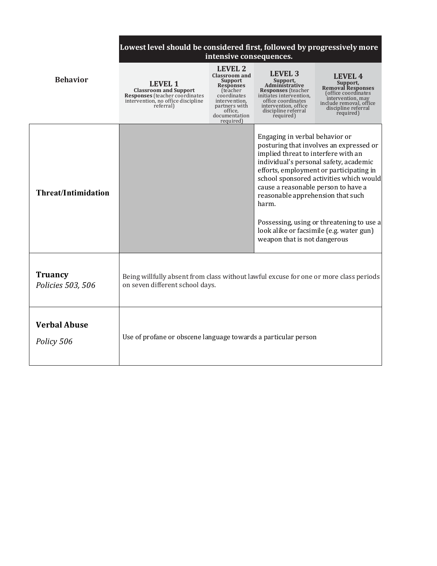|                                     | Lowest level should be considered first, followed by progressively more<br>intensive consequences.                                          |                                                                                                                                                                                     |                                                                                                                                                                                            |                                                                                                                                                                                                                                                                  |
|-------------------------------------|---------------------------------------------------------------------------------------------------------------------------------------------|-------------------------------------------------------------------------------------------------------------------------------------------------------------------------------------|--------------------------------------------------------------------------------------------------------------------------------------------------------------------------------------------|------------------------------------------------------------------------------------------------------------------------------------------------------------------------------------------------------------------------------------------------------------------|
| <b>Behavior</b>                     | <b>LEVEL 1</b><br><b>Classroom and Support</b><br><b>Responses</b> (teacher coordinates)<br>intervention, no office discipline<br>referral) | <b>LEVEL 2</b><br><b>Classroom and</b><br>Support<br><b>Responses</b><br><i>(teacher)</i><br>coordinates<br>intervention,<br>partners with<br>office,<br>documentation<br>required) | LEVEL 3<br>Support,<br>Administrative<br><b>Responses</b> (teacher<br>initiates intervention.<br>office coordinates<br>intervention, office<br>discipline referral<br>required)            | LEVEL 4<br>Support,<br><b>Removal Responses</b><br>office coordinates<br>intervention, may<br>include removal, office<br>discipline referral<br>required)                                                                                                        |
| <b>Threat/Intimidation</b>          |                                                                                                                                             |                                                                                                                                                                                     | Engaging in verbal behavior or<br>implied threat to interfere with an<br>cause a reasonable person to have a<br>reasonable apprehension that such<br>harm.<br>weapon that is not dangerous | posturing that involves an expressed or<br>individual's personal safety, academic<br>efforts, employment or participating in<br>school sponsored activities which would<br>Possessing, using or threatening to use a<br>look alike or facsimile (e.g. water gun) |
| <b>Truancy</b><br>Policies 503, 506 | Being willfully absent from class without lawful excuse for one or more class periods<br>on seven different school days.                    |                                                                                                                                                                                     |                                                                                                                                                                                            |                                                                                                                                                                                                                                                                  |
| <b>Verbal Abuse</b><br>Policy 506   | Use of profane or obscene language towards a particular person                                                                              |                                                                                                                                                                                     |                                                                                                                                                                                            |                                                                                                                                                                                                                                                                  |